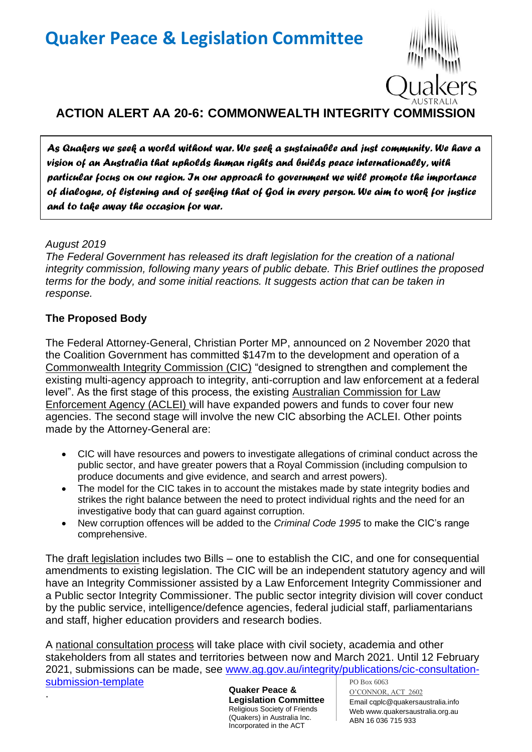

# **ACTION ALERT AA 20-6: COMMONWEALTH INTEGRITY COMMISSION**

*As Quakers we seek a world without war. We seek a sustainable and just community. We have a vision of an Australia that upholds human rights and builds peace internationally, with particular focus on our region. In our approach to government we will promote the importance of dialogue, of listening and of seeking that of God in every person. We aim to work for justice and to take away the occasion for war.* 

### *August 2019*

.

*The Federal Government has released its draft legislation for the creation of a national integrity commission, following many years of public debate. This Brief outlines the proposed terms for the body, and some initial reactions. It suggests action that can be taken in response.*

## **The Proposed Body**

The Federal Attorney-General, Christian Porter MP, announced on 2 November 2020 that the Coalition Government has committed \$147m to the development and operation of a Commonwealth Integrity Commission (CIC) "designed to strengthen and complement the existing multi-agency approach to integrity, anti-corruption and law enforcement at a federal level". As the first stage of this process, the existing Australian Commission for Law Enforcement Agency (ACLEI) will have expanded powers and funds to cover four new agencies. The second stage will involve the new CIC absorbing the ACLEI. Other points made by the Attorney-General are:

- CIC will have resources and powers to investigate allegations of criminal conduct across the public sector, and have greater powers that a Royal Commission (including compulsion to produce documents and give evidence, and search and arrest powers).
- The model for the CIC takes in to account the mistakes made by state integrity bodies and strikes the right balance between the need to protect individual rights and the need for an investigative body that can guard against corruption.
- New corruption offences will be added to the *Criminal Code 1995* to make the CIC's range comprehensive.

The draft legislation includes two Bills – one to establish the CIC, and one for consequential amendments to existing legislation. The CIC will be an independent statutory agency and will have an Integrity Commissioner assisted by a Law Enforcement Integrity Commissioner and a Public sector Integrity Commissioner. The public sector integrity division will cover conduct by the public service, intelligence/defence agencies, federal judicial staff, parliamentarians and staff, higher education providers and research bodies.

PO Box 6063 A national consultation process will take place with civil society, academia and other stakeholders from all states and territories between now and March 2021. Until 12 February 2021, submissions can be made, see [www.ag.gov.au/integrity/publications/cic-consultation](http://www.ag.gov.au/integrity/publications/cic-consultation-submission-template)[submission-template](http://www.ag.gov.au/integrity/publications/cic-consultation-submission-template)

**Quaker Peace & Legislation Committee** Religious Society of Friends (Quakers) in Australia Inc. Incorporated in the ACT

O'CONNOR, ACT 2602 Email cqplc@quakersaustralia.info Web www.quakersaustralia.org.au ABN 16 036 715 933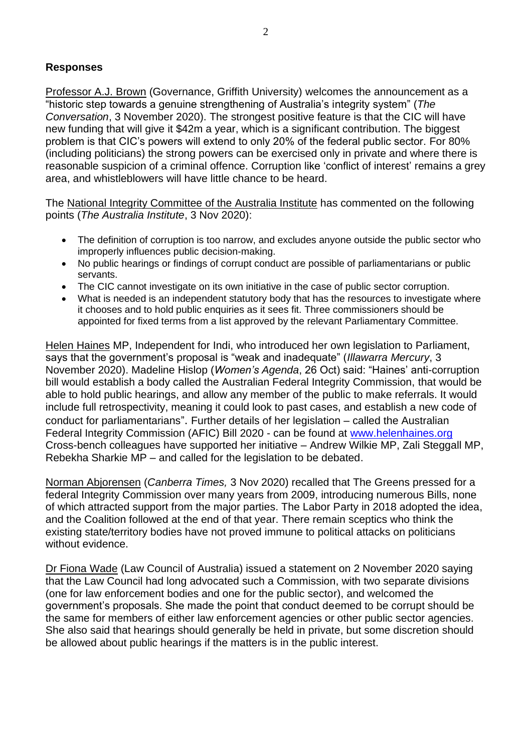## **Responses**

Professor A.J. Brown (Governance, Griffith University) welcomes the announcement as a "historic step towards a genuine strengthening of Australia's integrity system" (*The Conversation*, 3 November 2020). The strongest positive feature is that the CIC will have new funding that will give it \$42m a year, which is a significant contribution. The biggest problem is that CIC's powers will extend to only 20% of the federal public sector. For 80% (including politicians) the strong powers can be exercised only in private and where there is reasonable suspicion of a criminal offence. Corruption like 'conflict of interest' remains a grey area, and whistleblowers will have little chance to be heard.

The National Integrity Committee of the Australia Institute has commented on the following points (*The Australia Institute*, 3 Nov 2020):

- The definition of corruption is too narrow, and excludes anyone outside the public sector who improperly influences public decision-making.
- No public hearings or findings of corrupt conduct are possible of parliamentarians or public servants.
- The CIC cannot investigate on its own initiative in the case of public sector corruption.
- What is needed is an independent statutory body that has the resources to investigate where it chooses and to hold public enquiries as it sees fit. Three commissioners should be appointed for fixed terms from a list approved by the relevant Parliamentary Committee.

Helen Haines MP, Independent for Indi, who introduced her own legislation to Parliament, says that the government's proposal is "weak and inadequate" (*Illawarra Mercury*, 3 November 2020). Madeline Hislop (*Women's Agenda*, 26 Oct) said: "Haines' anti-corruption bill would establish a body called the Australian Federal Integrity Commission, that would be able to hold public hearings, and allow any member of the public to make referrals. It would include full retrospectivity, meaning it could look to past cases, and establish a new code of conduct for parliamentarians". Further details of her legislation – called the Australian Federal Integrity Commission (AFIC) Bill 2020 - can be found at [www.helenhaines.org](http://www.helenhaines.org/)  Cross-bench colleagues have supported her initiative – Andrew Wilkie MP, Zali Steggall MP, Rebekha Sharkie MP – and called for the legislation to be debated.

Norman Abjorensen (*Canberra Times,* 3 Nov 2020) recalled that The Greens pressed for a federal Integrity Commission over many years from 2009, introducing numerous Bills, none of which attracted support from the major parties. The Labor Party in 2018 adopted the idea, and the Coalition followed at the end of that year. There remain sceptics who think the existing state/territory bodies have not proved immune to political attacks on politicians without evidence.

Dr Fiona Wade (Law Council of Australia) issued a statement on 2 November 2020 saying that the Law Council had long advocated such a Commission, with two separate divisions (one for law enforcement bodies and one for the public sector), and welcomed the government's proposals. She made the point that conduct deemed to be corrupt should be the same for members of either law enforcement agencies or other public sector agencies. She also said that hearings should generally be held in private, but some discretion should be allowed about public hearings if the matters is in the public interest.